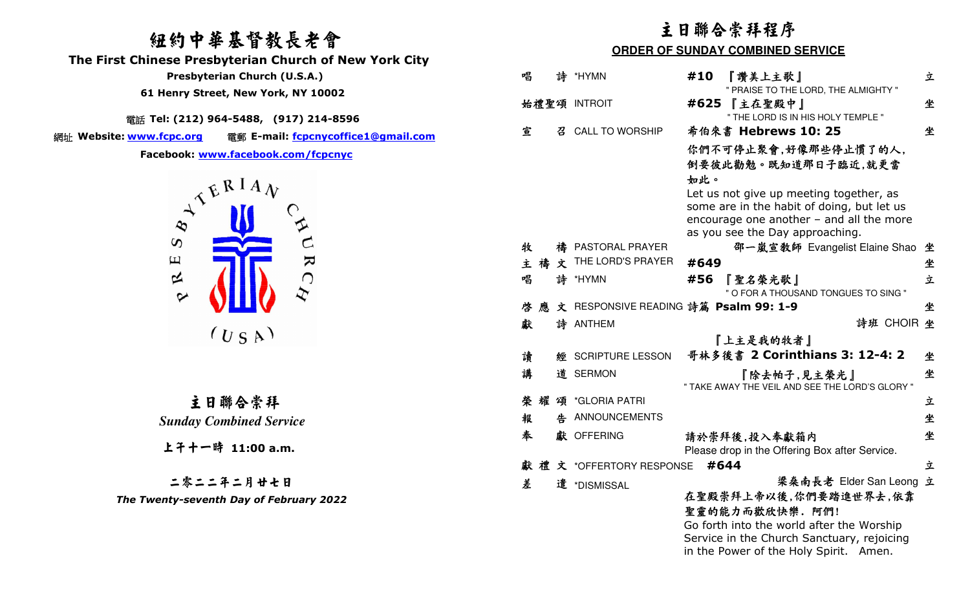# 紐約中華基督教長老會

 **The First Chinese Presbyterian Church of New York City** 

 **Presbyterian Church (U.S.A.)** 

 **61 Henry Street, New York, NY 10002**

電話 **Tel: (212) 964-5488, (917) 214-8596** 

網址 Website: www.fcpc.org

**Website: www.fcpc.org** 電郵 **E-mail: fcpcnycoffice1@gmail.com**



主日聯合崇拜 *Sunday Combined Service* 

上午十一時 **11:00 a.m.**

二零二二年二月廿七日

*The Twenty-seventh Day of February 2022* 

# 主日聯合崇拜程序

### **ORDER OF SUNDAY COMBINED SERVICE**

| 唱 |   |   | 詩 *HYMN                   | #10<br>『讚美上主歌』<br>" PRAISE TO THE LORD, THE ALMIGHTY "                                                                                                                                                 | 立 |
|---|---|---|---------------------------|--------------------------------------------------------------------------------------------------------------------------------------------------------------------------------------------------------|---|
|   |   |   | 始禮聖頌 INTROIT              | #625<br>『主在聖殿中』<br>" THE LORD IS IN HIS HOLY TEMPLE "                                                                                                                                                  | 坐 |
| 宣 |   |   | 召 CALL TO WORSHIP         | 希伯來書 Hebrews 10: 25                                                                                                                                                                                    | 坐 |
|   |   |   |                           | 你們不可停止聚會,好像那些停止慣了的人,<br>倒要彼此勸勉。既知道那日子臨近,就更當<br>如此。<br>Let us not give up meeting together, as                                                                                                          |   |
|   |   |   |                           | some are in the habit of doing, but let us<br>encourage one another $-$ and all the more<br>as you see the Day approaching.                                                                            |   |
| 牧 |   |   | 禱 PASTORAL PRAYER         | 邵一嵐宣教師 Evangelist Elaine Shao                                                                                                                                                                          | 坐 |
|   |   |   | 主 禱 文 THE LORD'S PRAYER   | #649                                                                                                                                                                                                   | 坐 |
| 唱 |   |   | 詩 *HYMN                   | 『聖名榮光歌』<br>#56<br>" O FOR A THOUSAND TONGUES TO SING "                                                                                                                                                 | 立 |
| 啓 | 應 |   |                           | 文 RESPONSIVE READING 詩篇 Psalm 99: 1-9                                                                                                                                                                  | 坐 |
| 獻 |   |   | 詩 ANTHEM                  | 詩班 CHOIR 坐                                                                                                                                                                                             |   |
|   |   |   |                           | 『上主是我的牧者』                                                                                                                                                                                              |   |
| 讀 |   | 經 | <b>SCRIPTURE LESSON</b>   | 哥林多後書 2 Corinthians 3: 12-4: 2                                                                                                                                                                         | 坐 |
| 講 |   |   | 道 SERMON                  | 『除去帕子,見主榮光』<br>" TAKE AWAY THE VEIL AND SEE THE LORD'S GLORY "                                                                                                                                         | 坐 |
| 榮 | 耀 |   | 頌 *GLORIA PATRI           |                                                                                                                                                                                                        | 立 |
| 報 |   |   | 告 ANNOUNCEMENTS           |                                                                                                                                                                                                        | 坐 |
| 奉 |   |   | 獻 OFFERING                | 請於崇拜後,投入奉獻箱内<br>Please drop in the Offering Box after Service.                                                                                                                                         | 坐 |
|   |   |   | 獻 禮 文 *OFFERTORY RESPONSE | #644                                                                                                                                                                                                   | 立 |
| 差 |   |   | 遣 *DISMISSAL              | 梁桑南長老 Elder San Leong<br>在聖殿崇拜上帝以後,你們要踏進世界去,依靠<br>聖靈的能力而歡欣快樂. 阿們!<br>Go forth into the world after the Worship<br>Service in the Church Sanctuary, rejoicing<br>in the Power of the Holy Spirit. Amen. | 立 |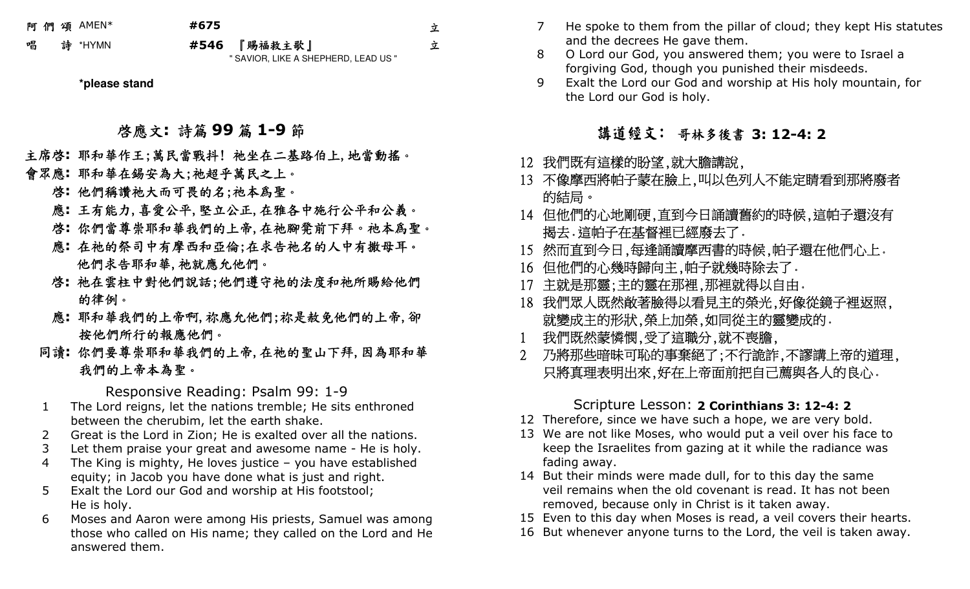阿 們 頌AMEN\* **#675** 

立

立

\*HYMN **#546** 6 『賜福救主歌』<br>- "@AV@B UKE A @L " SAVIOR, LIKE A SHEPHERD, LEAD US "

**\*please stand** 

啟應文**:** 詩篇 **<sup>99</sup>** 篇 **1-9** 節

 主席啟**:** 耶和華作王;萬民當戰抖! 祂坐在二基路伯上,地當動搖。 會眾應**:** 耶和華在錫安為大;祂超乎萬民之上。

啓**:** 他們稱讚祂大而可畏的名;祂本爲聖。

應**:** 王有能力,喜愛公平,堅立公正,在雅各中施行公平和公義。

啟**:** 你們當尊崇耶和華我們的上帝,在祂腳凳前下拜。祂本為聖。

- 應**:** 在祂的祭司中有摩西和亞倫;在求告祂名的人中有撒母耳。 他們求告耶和華,祂就應允他們。
- 啟**:** 祂在雲柱中對他們說話;他們遵守祂的法度和祂所賜給他們 的律例。
- 應**:** 耶和華我們的上帝啊,祢應允他們;祢是赦免他們的上帝,卻 按他們所行的報應他們。
	- 同讀**:** 你們要尊崇耶和華我們的上帝,在祂的聖山下拜,因為耶和華 我們的上帝本為聖。

Responsive Reading: Psalm 99: 1-9

- The Lord reigns, let the nations tremble; He sits enthroned 1between the cherubim, let the earth shake.
- 2 Great is the Lord in Zion; He is exalted over all the nations.  $\mathcal{P}$
- 3Let them praise your great and awesome name - He is holy.
- 4 The King is mighty, He loves justice – you have established equity; in Jacob you have done what is just and right.
- 5 Exalt the Lord our God and worship at His footstool; He is holy.
- Moses and Aaron were among His priests, Samuel was among 6those who called on His name; they called on the Lord and He answered them.
- 7 He spoke to them from the pillar of cloud; they kept His statutes and the decrees He gave them.
- O Lord our God, you answered them; you were to Israel a 8forgiving God, though you punished their misdeeds.
- Exalt the Lord our God and worship at His holy mountain, for 9the Lord our God is holy.

講道經文: 哥林多後書 **3: 12-4: 2**

- 12 我們既有這樣的盼望,就大膽講說,
- 13 不像摩西將帕子蒙在臉上,叫以色列人不能定睛看到那將廢者 的結局。
- 14 但他們的心地剛硬,直到今日誦讀舊約的時候,這帕子還沒有 揭去。這帕子在基督裡已經廢去了。
- 15 然而直到今日,每逢誦讀摩西書的時候,帕子還在他們心上。
- 16 但他們的心幾時歸向主,帕子就幾時除去了。
- 17 主就是那靈;主的靈在那裡,那裡就得以自由。
- 18 我們眾人既然敞著臉得以看見主的榮光,好像從鏡子裡返照, 就變成主的形狀,榮上加榮,如同從主的靈變成的。
- 1 我們既然蒙憐憫,受了這職分,就不喪膽,
- 2 乃將那些暗昧可恥的事棄絕了;不行詭詐,不謬講上帝的道理, 只將真理表明出來,好在上帝面前把自己薦與各人的良心。

# Scripture Lesson: **2 Corinthians 3: 12-4: 2**

- 12 Therefore, since we have such a hope, we are very bold.
- 13 We are not like Moses, who would put a veil over his face to keep the Israelites from gazing at it while the radiance was fading away.
- 14 But their minds were made dull, for to this day the same veil remains when the old covenant is read. It has not been removed, because only in Christ is it taken away.
- 15 Even to this day when Moses is read, a veil covers their hearts.
- 16 But whenever anyone turns to the Lord, the veil is taken away.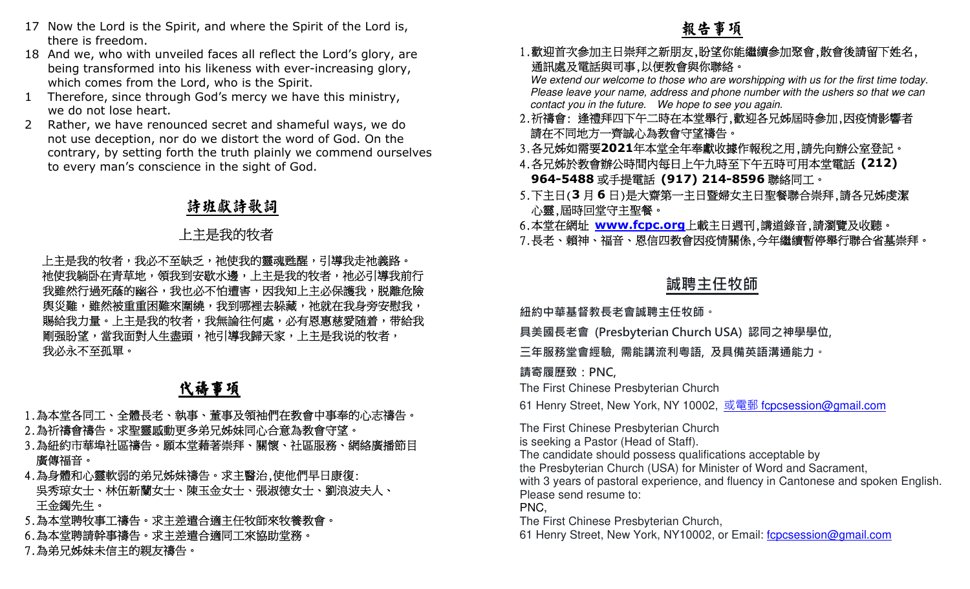- 17 Now the Lord is the Spirit, and where the Spirit of the Lord is, there is freedom.
- 18 And we, who with unveiled faces all reflect the Lord's glory, are being transformed into his likeness with ever-increasing glory, which comes from the Lord, who is the Spirit.
- Therefore, since through God's mercy we have this ministry, 1we do not lose heart.
- 2 Rather, we have renounced secret and shameful ways, we do not use deception, nor do we distort the word of God. On the contrary, by setting forth the truth plainly we commend ourselves to every man's conscience in the sight of God.

## 詩班獻詩歌詞

### 上主是我的牧者

\_\_\_上主是我的牧者,我必不至缺乏,祂使我的靈魂甦醒,引導我走祂義路。\_ ——祂使我躺卧在青草地,領我到安歇水邊,上主是我的牧者,祂必引導我前行<br>———————————————————— 我雖然行過死蔭的幽谷,我也必不怕遭害,因我知上主必保護我,脱離危險 - 舆災難,雖然被重重困難來圍繞,我到哪裡去躲藏,祂就在我身旁安慰我, |賜給我力量。上主是我的牧者,我無論往何處,必有恩惠慈愛随着,带給我| 剛强盼望,當我面對人生盡頭,祂引導我歸天家,上主是我说的牧者, 我必永不至孤單。 birit, and where the Spirit of the Lord is,<br>
eiled faces all reflect the Lord is not such as a set the context of such as a set of the Drive are such as the Spirit of the Drive and Spirit of the Sinke Spirit of the Sink

# 代禱事項

- 1.為本堂各同工、全體長老、執事、董事及領袖們在教會中事奉的心志禱告。 2.為祈禱會禱告。求聖靈感動更多弟兄姊妹同心合意為教會守望。
- 3.為紐約市華埠社區禱告。願本堂藉著崇拜、關懷、社區服務、網絡廣播節目 廣傳福音。
- 4.為身體和心靈軟弱的弟兄姊妹禱告。求主醫治,使他們早日康復: 吳秀琼女士、林伍新蘭女士、陳玉金女士、張淑德女士、劉浪波夫人、 王金鐲先生。
- 5.為本堂聘牧事工禱告。求主差遣合適主任牧師來牧養教會。
- 6.為本堂聘請幹事禱告。求主差遣合適同工來協助堂務。
- 7.為弟兄姊妹未信主的親友禱告

1.歡迎首次參加主日崇拜之新朋友,盼望你能繼續參加聚會,散會後請留下姓名, 通訊處及電話與司事,以便教會與你聯絡。

 We extend our welcome to those who are worshipping with us for the first time today. Please leave your name, address and phone number with the ushers so that we can contact you in the future. We hope to see you again.

- 2.祈禱會: 逢禮拜四下午二時在本堂舉行,歡迎各兄姊屆時參加,因疫情影響者請在不同地方一齊誠心為教會守望禱告。
- 3.各兄姊如需要**2021**年本堂全年奉獻收據作報稅之用,請先向辦公室登記。
- 4.各兄姊於教會辦公時間內每日上午九時至下午五時可用本堂電話 **(212) 964-5488**或手提電話 **(917) 214-8596**聯絡同工。
- 5.下主日(**3**月**6**日)是大齋第一主日暨婦女主日聖餐聯合崇拜,請各兄姊虔潔 心靈,屆時回堂守主聖餐。
- 6.本堂在網址 <mark>www.fcpc.org</mark>上載主日週刊,講道錄音,請瀏覽及收聽。<br>7. 長孝、超迪、逗卒、因台四教命田応恃閣後, 今年繼續斬信與行聯令坐草。

#### 7.長老、賴神、福音、恩信四教會因疫情關係,今年繼續暫停舉行聯合省墓崇拜。

### **誠聘主任牧師**

**紐約中華基督教⻑老會誠聘主任牧師。** 

**具美國⻑老會 (Presbyterian Church USA) 認同之神學學位,** 

**三年服務堂會經驗, 需能講流利粵語, 及具備英語溝通能力。** 

**請寄履歷致:PNC,**

The First Chinese Presbyterian Church

61 Henry Street, New York, NY 10002, <u>或電郵 f<mark>cpcsession@gmail.com</mark></u>

The First Chinese Presbyterian Church is seeking a Pastor (Head of Staff).The candidate should possess qualifications acceptable by

the Presbyterian Church (USA) for Minister of Word and Sacrament,

 with 3 years of pastoral experience, and fluency in Cantonese and spoken English.Please send resume to:

PNC,

The First Chinese Presbyterian Church,

61 Henry Street, New York, NY10002, or Email: f**cpcsession@gmail.com**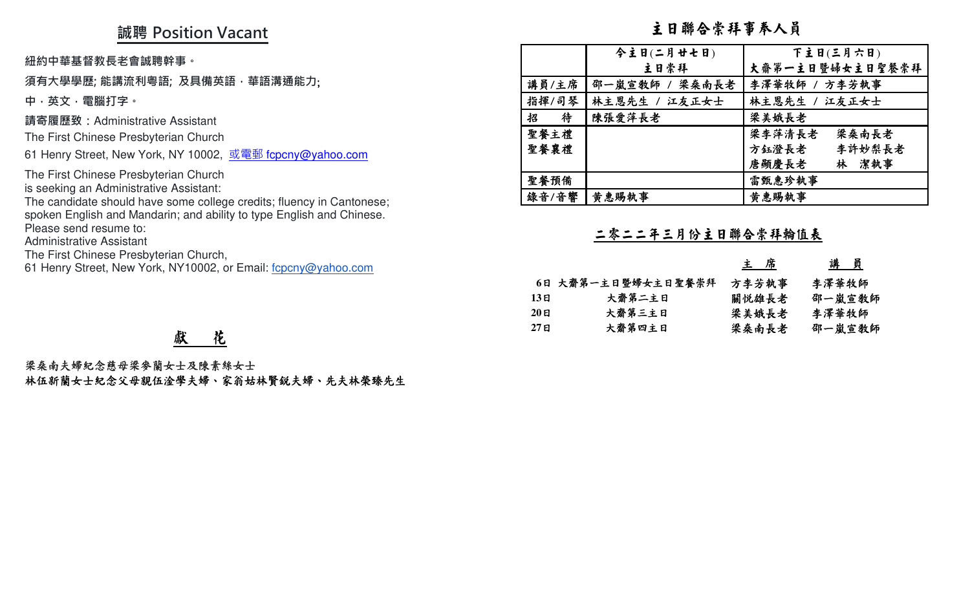## **誠聘 Position Vacant**

#### **須有大學學歷; 能講流利粵語; 及具備英語,華語溝通能力**;

# 獻 花

| 誠聘 Position Vacant                                                                                                                 | 主日聯合崇拜事奉人員       |                    |                 |                              |
|------------------------------------------------------------------------------------------------------------------------------------|------------------|--------------------|-----------------|------------------------------|
| 紐約中華基督教長老會誠聘幹事。                                                                                                                    |                  | 今主日(二月廿七日)<br>主日崇拜 |                 | 下主日(三月六日)<br>大齋第一主日暨婦女主日聖餐崇拜 |
| 須有大學學歷; 能講流利粵語; 及具備英語 · 華語溝通能力;                                                                                                    | 講員/主席            | 邵一嵐宣教師<br>梁桑南長老    |                 | 李澤華牧師 / 方李芳執事                |
| 中,英文,電腦打字。                                                                                                                         | 指揮/司琴            | 林主恩先生 / 江友正女士      | 林主恩先生 /         | 江友正女士                        |
| 請寄履歷致:Administrative Assistant                                                                                                     | 待<br>招           | 陳張愛萍長老             | 梁美娥長老           |                              |
| The First Chinese Presbyterian Church                                                                                              | 聖餐主禮             |                    | 梁李萍清長老          | 梁桑南長老                        |
| 61 Henry Street, New York, NY 10002, 或電郵 fcpcny@yahoo.com                                                                          | 聖餐襄禮             |                    | 方鈺澄長老           | 李許妙梨長老                       |
| The First Chinese Presbyterian Church                                                                                              |                  |                    | 唐顯慶長老           | 林 潔執事                        |
| is seeking an Administrative Assistant:                                                                                            | 聖餐預備<br>錄音/音響    | 黄惠賜執事              | 雷甄惠珍執事<br>黄惠賜執事 |                              |
| spoken English and Mandarin; and ability to type English and Chinese.<br>Please send resume to:<br><b>Administrative Assistant</b> |                  | 二零二二年三月份主日聯合崇拜輪值表  |                 |                              |
| The First Chinese Presbyterian Church,<br>61 Henry Street, New York, NY10002, or Email: fcpcny@yahoo.com                           |                  |                    | <u>主席</u>       | <u>講員</u>                    |
|                                                                                                                                    |                  | 6日 大齋第一主日暨婦女主日聖餐崇拜 | 方李芳執事           | 李澤華牧師                        |
|                                                                                                                                    | 13E              | 大齋第二主日             | 關悦雄長老           | 邵一嵐宣教師                       |
|                                                                                                                                    | $20$ 日           | 大齋第三主日             | 梁美娥長老           | 李澤華牧師                        |
| 花<br>獻                                                                                                                             | 27 <sub>El</sub> | 大齋第四主日             | 梁桑南長老           | 邵一嵐宣教師                       |
| 梁桑南夫婦紀念慈母梁參蘭女士及陳素絲女士<br>林伍新蘭女士紀念父母親伍淦學夫婦、家翁姑林賢銳夫婦、先夫林榮臻先生                                                                          |                  |                    |                 |                              |

|       |                    | 主席    | 講員     |
|-------|--------------------|-------|--------|
|       | 6日 大齋第一主日暨婦女主日聖餐崇拜 | 方李芳執事 | 李澤華牧師  |
| 13 E  | 大齋第二主日             | 關悦雄長老 | 邵一嵐宣教師 |
| 20E   | 大齋第三主日             | 梁美娥長老 | 李澤華牧師  |
| 27 ยิ | 大齋第四主日             | 梁桑南長老 | 邵一嵐宣敎師 |